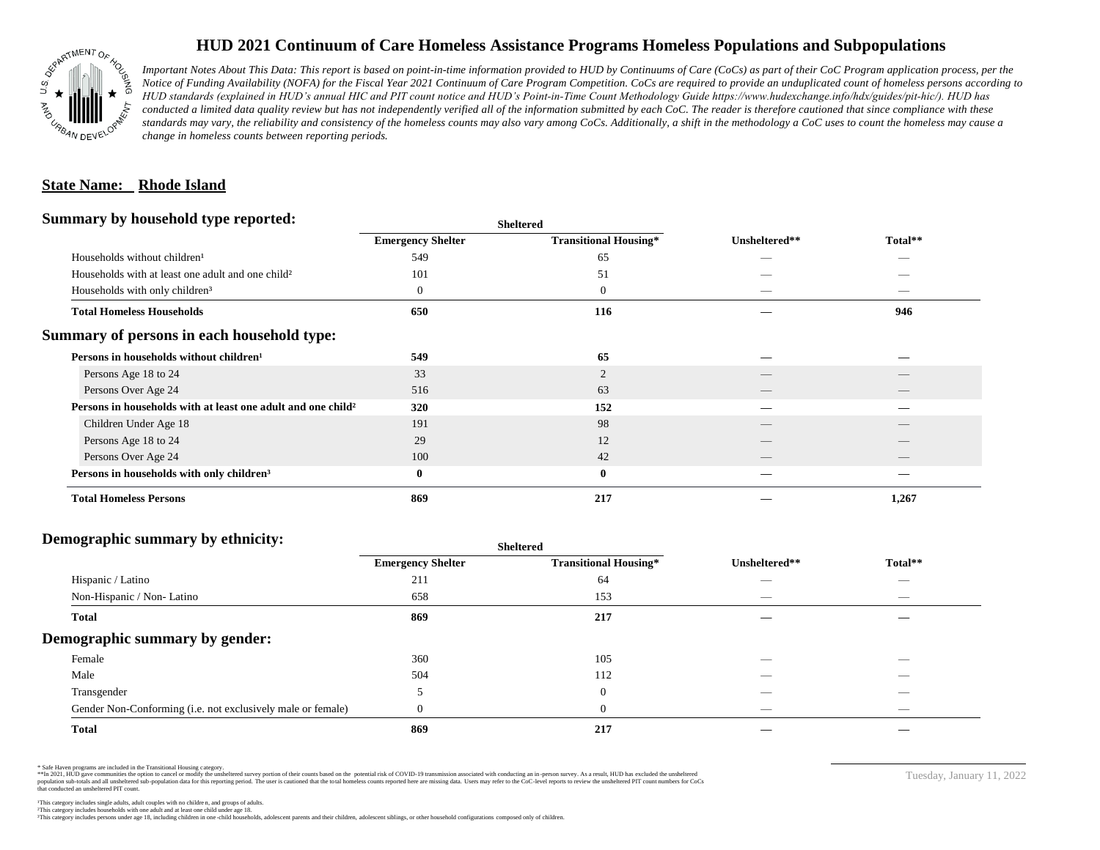

## **HUD 2021 Continuum of Care Homeless Assistance Programs Homeless Populations and Subpopulations**

*Important Notes About This Data: This report is based on point-in-time information provided to HUD by Continuums of Care (CoCs) as part of their CoC Program application process, per the Notice of Funding Availability (NOFA) for the Fiscal Year 2021 Continuum of Care Program Competition. CoCs are required to provide an unduplicated count of homeless persons according to HUD standards (explained in HUD's annual HIC and PIT count notice and HUD's Point-in-Time Count Methodology Guide https://www.hudexchange.info/hdx/guides/pit-hic/). HUD has*  conducted a limited data quality review but has not independently verified all of the information submitted by each CoC. The reader is therefore cautioned that since compliance with these standards may vary, the reliability and consistency of the homeless counts may also vary among CoCs. Additionally, a shift in the methodology a CoC uses to count the homeless may cause a *change in homeless counts between reporting periods.*

#### **State Name: Rhode Island**

#### **Summary by household type reported:**

| . .                                                                      | энскегси                 |                              |               |                          |  |
|--------------------------------------------------------------------------|--------------------------|------------------------------|---------------|--------------------------|--|
|                                                                          | <b>Emergency Shelter</b> | <b>Transitional Housing*</b> | Unsheltered** | Total**                  |  |
| Households without children <sup>1</sup>                                 | 549                      | 65                           |               | _                        |  |
| Households with at least one adult and one child <sup>2</sup>            | 101                      | 51                           |               |                          |  |
| Households with only children <sup>3</sup>                               | 0                        | $\boldsymbol{0}$             | _             | _                        |  |
| <b>Total Homeless Households</b>                                         | 650                      | 116                          |               | 946                      |  |
| Summary of persons in each household type:                               |                          |                              |               |                          |  |
| Persons in households without children <sup>1</sup>                      | 549                      | 65                           |               |                          |  |
| Persons Age 18 to 24                                                     | 33                       | $\overline{2}$               |               |                          |  |
| Persons Over Age 24                                                      | 516                      | 63                           |               |                          |  |
| Persons in households with at least one adult and one child <sup>2</sup> | 320                      | 152                          |               |                          |  |
| Children Under Age 18                                                    | 191                      | 98                           |               |                          |  |
| Persons Age 18 to 24                                                     | 29                       | 12                           |               |                          |  |
| Persons Over Age 24                                                      | 100                      | 42                           |               | $\overline{\phantom{a}}$ |  |
| Persons in households with only children <sup>3</sup>                    | $\bf{0}$                 | $\bf{0}$                     |               |                          |  |
| <b>Total Homeless Persons</b>                                            | 869                      | 217                          |               | 1,267                    |  |
|                                                                          |                          |                              |               |                          |  |

**Sheltered**

## **Demographic summary by ethnicity:**

| ັ<br>. .<br>$\bullet$<br>. .<br>$\ddot{\phantom{1}}$        | Sneitered                |                              |                                 |                                |
|-------------------------------------------------------------|--------------------------|------------------------------|---------------------------------|--------------------------------|
|                                                             | <b>Emergency Shelter</b> | <b>Transitional Housing*</b> | Unsheltered**                   | Total**                        |
| Hispanic / Latino                                           | 211                      | 64                           | _                               | $\overbrace{\hspace{25mm}}^{}$ |
| Non-Hispanic / Non-Latino                                   | 658                      | 153                          | $\hspace{0.05cm}$               | $\overbrace{\hspace{25mm}}^{}$ |
| <b>Total</b>                                                | 869                      | 217                          |                                 |                                |
| Demographic summary by gender:                              |                          |                              |                                 |                                |
| Female                                                      | 360                      | 105                          |                                 | $\overline{\phantom{a}}$       |
| Male                                                        | 504                      | 112                          | ___                             | $-$                            |
| Transgender                                                 |                          | $\overline{0}$               | __                              | $\sim$                         |
| Gender Non-Conforming (i.e. not exclusively male or female) |                          | $\overline{0}$               | $\hspace{0.1mm}-\hspace{0.1mm}$ | $\overbrace{\hspace{25mm}}^{}$ |
| <b>Total</b>                                                | 869                      | 217                          |                                 |                                |

**Sheltered**

\* Safe Haven programs are included in the Transitional Housing category.

\*\*In 2021, HUD gave communities the option to cancel or modify the unsheltered survey portion of their counts based on the potential risk of COVID-19 transmission associated with conducting an in-person survey. As a result n political data for this reporting period. The user is cautioned that the total homeless counts reported here are missing data. Users may refer to the CoC-level reports to review the unshellered PIT count numbers for CoCs that conducted an unsheltered PIT count.

This category includes persons under age 18, including children in one -child households, adolescent parents and their children, adolescent siblings, or other household configurations composed only of children.